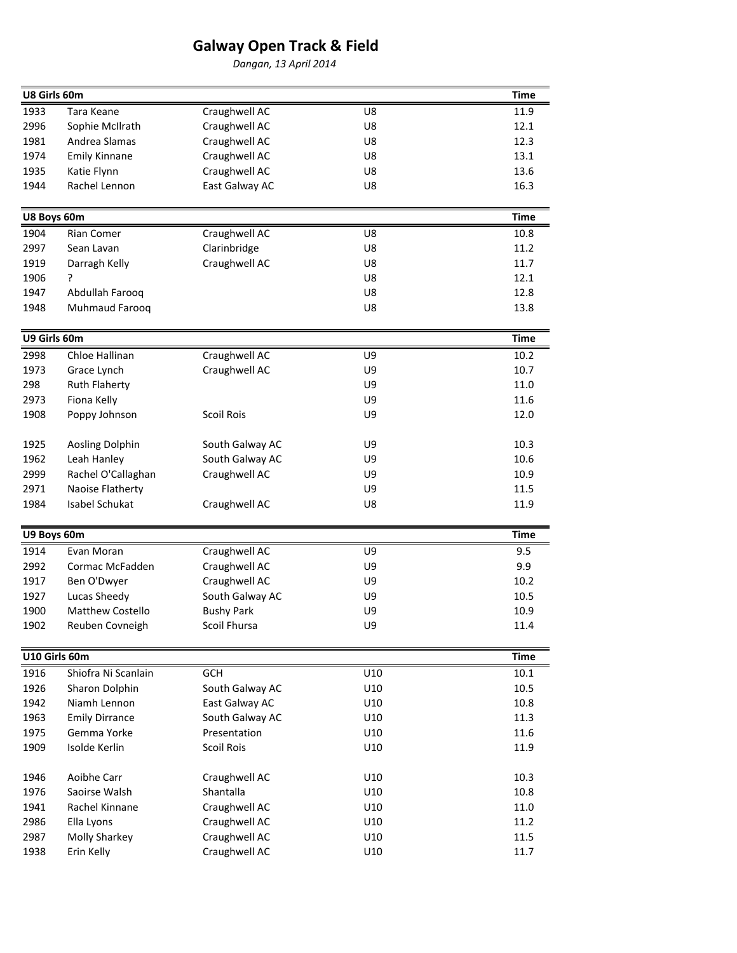## Galway Open Track & Field

Dangan, 13 April 2014

| U8 Girls 60m  |                         |                                |     | <b>Time</b> |
|---------------|-------------------------|--------------------------------|-----|-------------|
| 1933          | Tara Keane              | Craughwell AC                  | U8  | 11.9        |
| 2996          | Sophie McIlrath         | Craughwell AC                  | U8  | 12.1        |
| 1981          | Andrea Slamas           | Craughwell AC                  | U8  | 12.3        |
| 1974          | <b>Emily Kinnane</b>    | Craughwell AC                  | U8  | 13.1        |
| 1935          | Katie Flynn             | Craughwell AC                  | U8  | 13.6        |
| 1944          | Rachel Lennon           | East Galway AC                 | U8  | 16.3        |
|               |                         |                                |     |             |
| U8 Boys 60m   |                         |                                |     | <b>Time</b> |
| 1904          | Rian Comer              | Craughwell AC                  | U8  | 10.8        |
| 2997          | Sean Lavan              | Clarinbridge                   | U8  | 11.2        |
| 1919          | Darragh Kelly           | Craughwell AC                  | U8  | 11.7        |
| 1906          | ?                       |                                | U8  | 12.1        |
| 1947          | Abdullah Farooq         |                                | U8  | 12.8        |
| 1948          | Muhmaud Farooq          |                                | U8  | 13.8        |
| U9 Girls 60m  |                         |                                |     | <b>Time</b> |
| 2998          | Chloe Hallinan          | Craughwell AC                  | U9  | 10.2        |
| 1973          | Grace Lynch             | Craughwell AC                  | U9  | 10.7        |
| 298           | <b>Ruth Flaherty</b>    |                                | U9  | 11.0        |
| 2973          | Fiona Kelly             |                                | U9  | 11.6        |
| 1908          | Poppy Johnson           | <b>Scoil Rois</b>              | U9  | 12.0        |
|               |                         |                                |     |             |
| 1925          | Aosling Dolphin         | South Galway AC                | U9  | 10.3        |
| 1962          | Leah Hanley             | South Galway AC                | U9  | 10.6        |
| 2999          | Rachel O'Callaghan      | Craughwell AC                  | U9  | 10.9        |
| 2971          | Naoise Flatherty        |                                | U9  | 11.5        |
| 1984          | Isabel Schukat          | Craughwell AC                  | U8  | 11.9        |
| U9 Boys 60m   |                         |                                |     | <b>Time</b> |
| 1914          | Evan Moran              |                                | U9  | 9.5         |
| 2992          | Cormac McFadden         | Craughwell AC<br>Craughwell AC | U9  | 9.9         |
| 1917          | Ben O'Dwyer             | Craughwell AC                  | U9  | 10.2        |
| 1927          | Lucas Sheedy            | South Galway AC                | U9  | 10.5        |
| 1900          | <b>Matthew Costello</b> | <b>Bushy Park</b>              | U9  | 10.9        |
| 1902          | Reuben Covneigh         | Scoil Fhursa                   | U9  | 11.4        |
|               |                         |                                |     |             |
| U10 Girls 60m |                         |                                |     | <b>Time</b> |
| 1916          | Shiofra Ni Scanlain     | <b>GCH</b>                     | U10 | 10.1        |
| 1926          | Sharon Dolphin          | South Galway AC                | U10 | 10.5        |
| 1942          | Niamh Lennon            | East Galway AC                 | U10 | 10.8        |
| 1963          | <b>Emily Dirrance</b>   | South Galway AC                | U10 | 11.3        |
| 1975          | Gemma Yorke             | Presentation                   | U10 | 11.6        |
| 1909          | Isolde Kerlin           | <b>Scoil Rois</b>              | U10 | 11.9        |
| 1946          | Aoibhe Carr             | Craughwell AC                  | U10 | 10.3        |
| 1976          | Saoirse Walsh           | Shantalla                      | U10 | 10.8        |
| 1941          | Rachel Kinnane          | Craughwell AC                  | U10 | 11.0        |
| 2986          | Ella Lyons              | Craughwell AC                  | U10 | 11.2        |
| 2987          | Molly Sharkey           | Craughwell AC                  | U10 | 11.5        |
| 1938          | Erin Kelly              | Craughwell AC                  | U10 | 11.7        |
|               |                         |                                |     |             |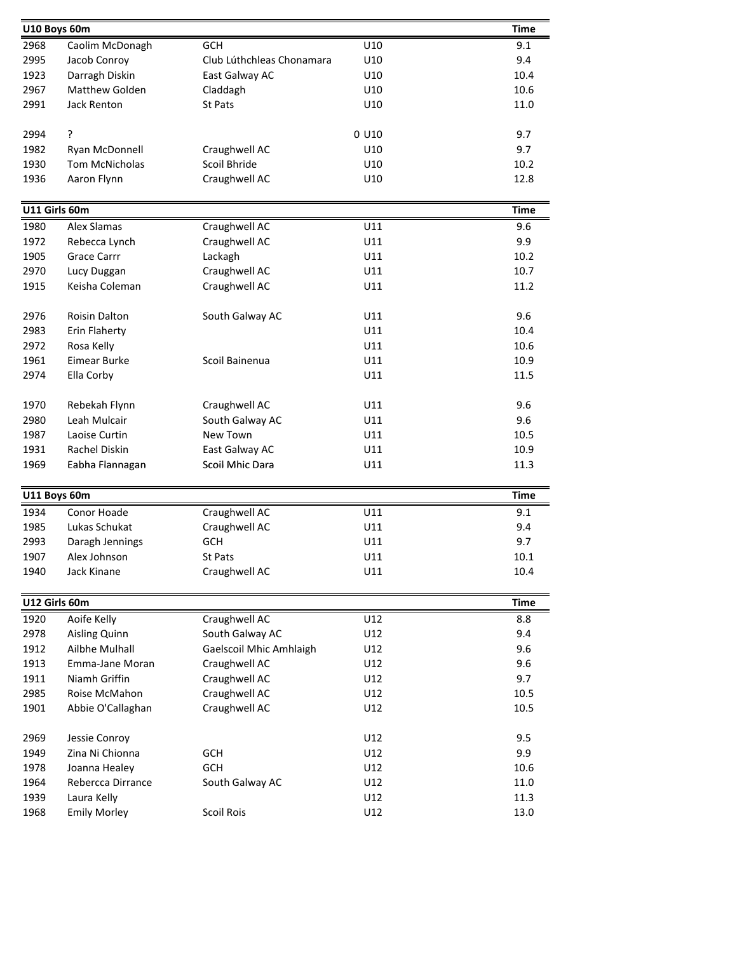| U10 Boys 60m  |                        |                           |         | <b>Time</b> |  |
|---------------|------------------------|---------------------------|---------|-------------|--|
| 2968          | Caolim McDonagh        | <b>GCH</b><br>U10         |         |             |  |
| 2995          | Jacob Conroy           | Club Lúthchleas Chonamara | U10     | 9.4         |  |
| 1923          | Darragh Diskin         | East Galway AC            | U10     | 10.4        |  |
| 2967          | Matthew Golden         | Claddagh                  | U10     | 10.6        |  |
| 2991          | <b>Jack Renton</b>     | <b>St Pats</b>            | U10     | 11.0        |  |
|               |                        |                           |         |             |  |
| 2994          | ŗ                      |                           | $0$ U10 | 9.7         |  |
| 1982          | Ryan McDonnell         | Craughwell AC             | U10     | 9.7         |  |
| 1930          | <b>Tom McNicholas</b>  | Scoil Bhride              | U10     | 10.2        |  |
| 1936          | Aaron Flynn            | Craughwell AC             | U10     | 12.8        |  |
| U11 Girls 60m |                        |                           |         | <b>Time</b> |  |
| 1980          | Alex Slamas            | Craughwell AC             | U11     | 9.6         |  |
| 1972          | Rebecca Lynch          | Craughwell AC             | U11     | 9.9         |  |
| 1905          | <b>Grace Carrr</b>     | Lackagh                   | U11     | 10.2        |  |
| 2970          | Lucy Duggan            | Craughwell AC             | U11     | 10.7        |  |
| 1915          | Keisha Coleman         | Craughwell AC             | U11     | 11.2        |  |
|               |                        |                           |         |             |  |
| 2976          | Roisin Dalton          | South Galway AC           | U11     | 9.6         |  |
| 2983          | Erin Flaherty          |                           | U11     | 10.4        |  |
| 2972          | Rosa Kelly             |                           | U11     | 10.6        |  |
| 1961          | <b>Eimear Burke</b>    | Scoil Bainenua            | U11     | 10.9        |  |
| 2974          | Ella Corby             |                           | U11     | 11.5        |  |
|               |                        |                           |         |             |  |
| 1970          | Rebekah Flynn          | Craughwell AC             | U11     | 9.6         |  |
| 2980          | Leah Mulcair           | South Galway AC           | U11     | 9.6         |  |
| 1987          | Laoise Curtin          | New Town                  | U11     | 10.5        |  |
| 1931          | Rachel Diskin          | East Galway AC            | U11     | 10.9        |  |
| 1969          | Eabha Flannagan        | Scoil Mhic Dara           | U11     | 11.3        |  |
| U11 Boys 60m  |                        |                           |         | <b>Time</b> |  |
| 1934          | Conor Hoade            | Craughwell AC             | U11     | 9.1         |  |
| 1985          | Lukas Schukat          | Craughwell AC             | U11     | 9.4         |  |
| 2993          | Daragh Jennings        | <b>GCH</b>                | U11     | 9.7         |  |
| 1907          | Alex Johnson           | St Pats                   | U11     | 10.1        |  |
| 1940          | Jack Kinane            | Craughwell AC             | U11     | 10.4        |  |
|               |                        |                           |         |             |  |
| U12 Girls 60m |                        |                           |         | Time        |  |
| 1920          | Aoife Kelly            | Craughwell AC             | U12     | 8.8         |  |
| 2978          | Aisling Quinn          | South Galway AC           | U12     | 9.4         |  |
| 1912          | Ailbhe Mulhall         | Gaelscoil Mhic Amhlaigh   | U12     | 9.6         |  |
| 1913          | <b>Emma-Jane Moran</b> | Craughwell AC             | U12     | 9.6         |  |
| 1911          | Niamh Griffin          | Craughwell AC             | U12     | 9.7         |  |
| 2985          | Roise McMahon          | Craughwell AC             | U12     | 10.5        |  |
| 1901          | Abbie O'Callaghan      | Craughwell AC             | U12     | 10.5        |  |
| 2969          | Jessie Conroy          |                           | U12     | 9.5         |  |
| 1949          | Zina Ni Chionna        | <b>GCH</b>                | U12     | 9.9         |  |
| 1978          | Joanna Healey          | <b>GCH</b>                | U12     | 10.6        |  |
| 1964          | Rebercca Dirrance      | South Galway AC           | U12     | 11.0        |  |
| 1939          | Laura Kelly            |                           | U12     | 11.3        |  |
| 1968          | <b>Emily Morley</b>    | <b>Scoil Rois</b>         | U12     | 13.0        |  |
|               |                        |                           |         |             |  |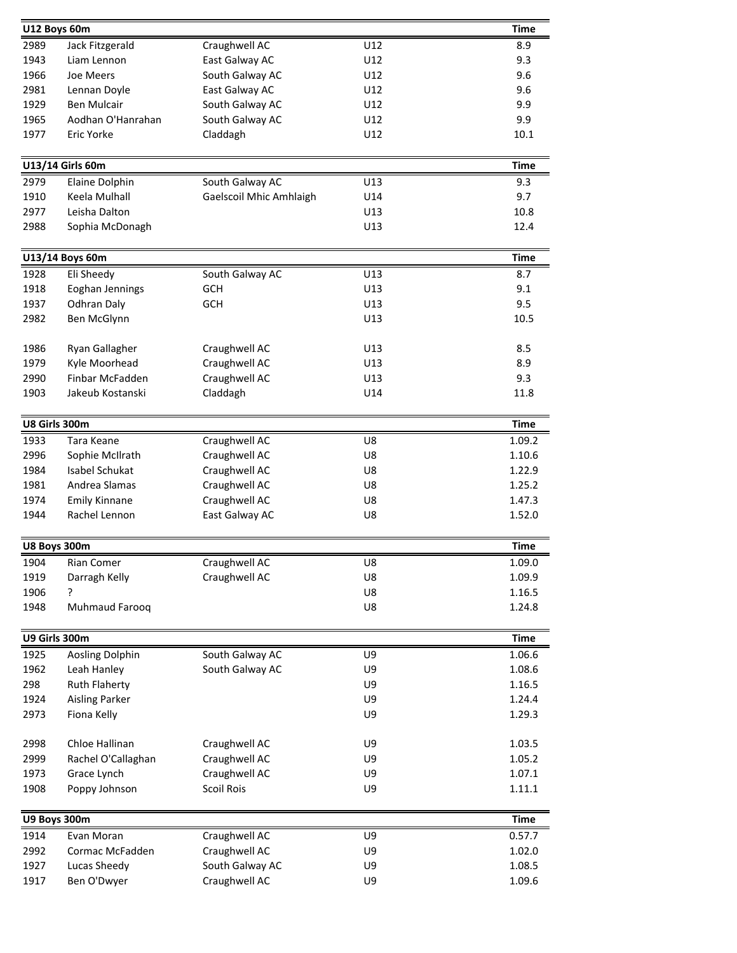|      | U12 Boys 60m           |                         |     | <b>Time</b> |
|------|------------------------|-------------------------|-----|-------------|
| 2989 | Jack Fitzgerald        | Craughwell AC           | U12 | 8.9         |
| 1943 | Liam Lennon            | East Galway AC          | U12 | 9.3         |
| 1966 | Joe Meers              | South Galway AC         | U12 | 9.6         |
| 2981 | Lennan Doyle           | East Galway AC          | U12 | 9.6         |
| 1929 | <b>Ben Mulcair</b>     | South Galway AC         | U12 | 9.9         |
| 1965 | Aodhan O'Hanrahan      | South Galway AC         | U12 | 9.9         |
| 1977 | Eric Yorke             | Claddagh                | U12 | 10.1        |
|      |                        |                         |     |             |
|      | U13/14 Girls 60m       |                         |     | <b>Time</b> |
| 2979 | Elaine Dolphin         | South Galway AC         | U13 | 9.3         |
| 1910 | Keela Mulhall          | Gaelscoil Mhic Amhlaigh | U14 | 9.7         |
| 2977 | Leisha Dalton          |                         | U13 | 10.8        |
| 2988 | Sophia McDonagh        |                         | U13 | 12.4        |
|      | U13/14 Boys 60m        |                         |     | <b>Time</b> |
| 1928 | Eli Sheedy             | South Galway AC         | U13 | 8.7         |
| 1918 | Eoghan Jennings        | <b>GCH</b>              | U13 | 9.1         |
| 1937 |                        |                         | U13 | 9.5         |
|      | <b>Odhran Daly</b>     | <b>GCH</b>              |     |             |
| 2982 | Ben McGlynn            |                         | U13 | 10.5        |
| 1986 | Ryan Gallagher         | Craughwell AC           | U13 | 8.5         |
| 1979 | Kyle Moorhead          | Craughwell AC           | U13 | 8.9         |
| 2990 | Finbar McFadden        | Craughwell AC           | U13 | 9.3         |
| 1903 | Jakeub Kostanski       | Claddagh                | U14 | 11.8        |
|      |                        |                         |     |             |
|      | U8 Girls 300m          |                         |     | <b>Time</b> |
| 1933 | Tara Keane             | Craughwell AC           | U8  | 1.09.2      |
| 2996 | Sophie McIlrath        | Craughwell AC           | U8  | 1.10.6      |
| 1984 | Isabel Schukat         | Craughwell AC           | U8  | 1.22.9      |
| 1981 | Andrea Slamas          | Craughwell AC           | U8  | 1.25.2      |
| 1974 | <b>Emily Kinnane</b>   | Craughwell AC           | U8  | 1.47.3      |
| 1944 | Rachel Lennon          | East Galway AC          | U8  | 1.52.0      |
|      | <b>U8 Boys 300m</b>    |                         |     | <b>Time</b> |
| 1904 | Rian Comer             | Craughwell AC           | U8  | 1.09.0      |
| 1919 | Darragh Kelly          | Craughwell AC           | U8  | 1.09.9      |
| 1906 | ?                      |                         | U8  | 1.16.5      |
| 1948 | Muhmaud Farooq         |                         | U8  | 1.24.8      |
|      |                        |                         |     |             |
|      | U9 Girls 300m          |                         |     | <b>Time</b> |
| 1925 | <b>Aosling Dolphin</b> | South Galway AC         | U9  | 1.06.6      |
| 1962 | Leah Hanley            | South Galway AC         | U9  | 1.08.6      |
| 298  | <b>Ruth Flaherty</b>   |                         | U9  | 1.16.5      |
| 1924 | <b>Aisling Parker</b>  |                         | U9  | 1.24.4      |
| 2973 | Fiona Kelly            |                         | U9  | 1.29.3      |
| 2998 | Chloe Hallinan         | Craughwell AC           | U9  | 1.03.5      |
| 2999 | Rachel O'Callaghan     | Craughwell AC           | U9  | 1.05.2      |
| 1973 | Grace Lynch            | Craughwell AC           | U9  | 1.07.1      |
| 1908 | Poppy Johnson          | Scoil Rois              | U9  | 1.11.1      |
|      |                        |                         |     |             |
|      | U9 Boys 300m           |                         |     | <b>Time</b> |
| 1914 | Evan Moran             | Craughwell AC           | U9  | 0.57.7      |
| 2992 | Cormac McFadden        | Craughwell AC           | U9  | 1.02.0      |
| 1927 | Lucas Sheedy           | South Galway AC         | U9  | 1.08.5      |
| 1917 | Ben O'Dwyer            | Craughwell AC           | U9  | 1.09.6      |
|      |                        |                         |     |             |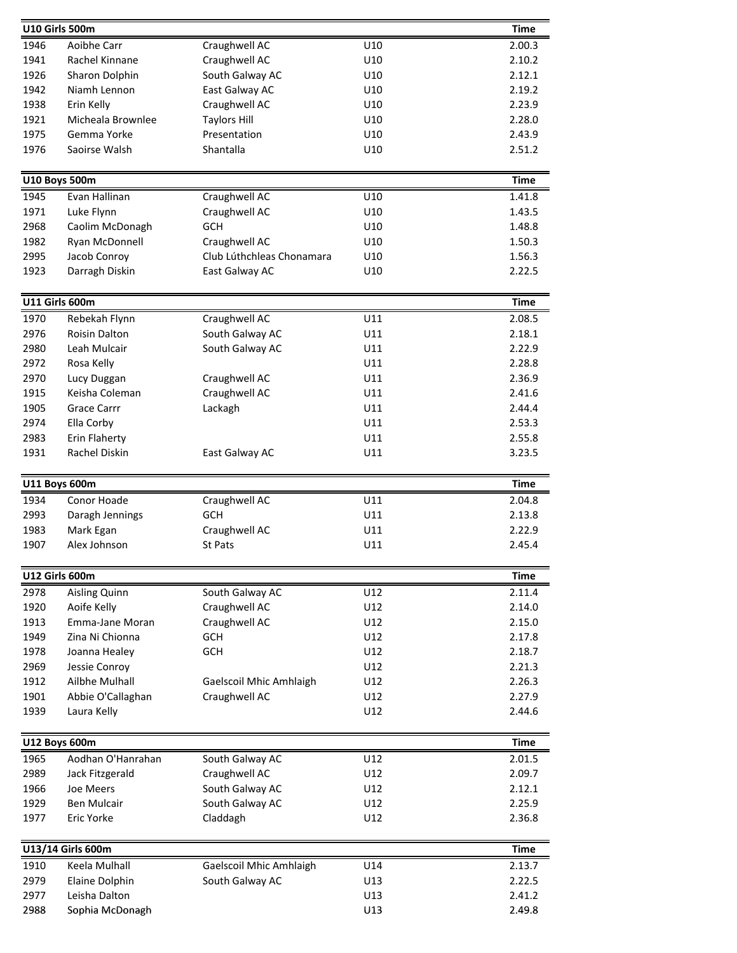| U10 Girls 500m       |                                  |                                  |            | <b>Time</b>      |
|----------------------|----------------------------------|----------------------------------|------------|------------------|
| 1946                 | Aoibhe Carr                      | Craughwell AC                    | U10        | 2.00.3           |
| 1941                 | Rachel Kinnane                   | Craughwell AC                    | U10        | 2.10.2           |
| 1926                 | Sharon Dolphin                   | South Galway AC                  | U10        | 2.12.1           |
| 1942                 | Niamh Lennon                     | East Galway AC                   | U10        | 2.19.2           |
| 1938                 | Erin Kelly                       | Craughwell AC                    | U10        | 2.23.9           |
| 1921                 | Micheala Brownlee                | <b>Taylors Hill</b>              | U10        | 2.28.0           |
| 1975                 | Gemma Yorke                      | Presentation                     | U10        | 2.43.9           |
| 1976                 | Saoirse Walsh                    | Shantalla                        | U10        | 2.51.2           |
| <b>U10 Boys 500m</b> |                                  |                                  |            | <b>Time</b>      |
| 1945                 | Evan Hallinan                    | Craughwell AC                    | U10        | 1.41.8           |
| 1971                 | Luke Flynn                       | Craughwell AC                    | U10        | 1.43.5           |
| 2968                 | Caolim McDonagh                  | <b>GCH</b>                       | U10        | 1.48.8           |
| 1982                 | Ryan McDonnell                   | Craughwell AC                    | U10        | 1.50.3           |
| 2995                 | Jacob Conroy                     | Club Lúthchleas Chonamara        | U10        | 1.56.3           |
| 1923                 | Darragh Diskin                   | East Galway AC                   | U10        | 2.22.5           |
|                      |                                  |                                  |            |                  |
| U11 Girls 600m       |                                  |                                  |            | <b>Time</b>      |
| 1970                 | Rebekah Flynn                    | Craughwell AC                    | U11        | 2.08.5           |
| 2976                 | Roisin Dalton                    | South Galway AC                  | U11        | 2.18.1           |
| 2980                 | Leah Mulcair                     | South Galway AC                  | U11        | 2.22.9           |
| 2972                 | Rosa Kelly                       |                                  | U11        | 2.28.8           |
| 2970                 | Lucy Duggan                      | Craughwell AC                    | U11        | 2.36.9           |
| 1915                 | Keisha Coleman                   | Craughwell AC                    | U11        | 2.41.6           |
| 1905                 | <b>Grace Carrr</b>               | Lackagh                          | U11        | 2.44.4           |
| 2974                 | Ella Corby                       |                                  | U11<br>U11 | 2.53.3<br>2.55.8 |
| 2983<br>1931         | Erin Flaherty<br>Rachel Diskin   | East Galway AC                   | U11        | 3.23.5           |
|                      |                                  |                                  |            |                  |
|                      |                                  |                                  |            |                  |
| <b>U11 Boys 600m</b> |                                  |                                  |            | <b>Time</b>      |
| 1934                 | Conor Hoade                      | Craughwell AC                    | U11        | 2.04.8           |
| 2993                 | Daragh Jennings                  | <b>GCH</b>                       | U11        | 2.13.8           |
| 1983                 | Mark Egan                        | Craughwell AC                    | U11        | 2.22.9           |
| 1907                 | Alex Johnson                     | St Pats                          | U11        | 2.45.4           |
| U12 Girls 600m       |                                  |                                  |            | Time             |
| 2978                 |                                  |                                  | U12        | 2.11.4           |
| 1920                 | Aisling Quinn<br>Aoife Kelly     | South Galway AC<br>Craughwell AC | U12        | 2.14.0           |
| 1913                 | Emma-Jane Moran                  | Craughwell AC                    | U12        | 2.15.0           |
| 1949                 | Zina Ni Chionna                  | <b>GCH</b>                       | U12        | 2.17.8           |
| 1978                 | Joanna Healey                    | GCH                              | U12        | 2.18.7           |
| 2969                 | Jessie Conroy                    |                                  | U12        | 2.21.3           |
| 1912                 | Ailbhe Mulhall                   | Gaelscoil Mhic Amhlaigh          | U12        | 2.26.3           |
| 1901                 | Abbie O'Callaghan                | Craughwell AC                    | U12        | 2.27.9           |
| 1939                 | Laura Kelly                      |                                  | U12        | 2.44.6           |
|                      |                                  |                                  |            |                  |
| <b>U12 Boys 600m</b> |                                  |                                  |            | <b>Time</b>      |
| 1965                 | Aodhan O'Hanrahan                | South Galway AC                  | U12        | 2.01.5           |
| 2989                 | Jack Fitzgerald                  | Craughwell AC                    | U12        | 2.09.7           |
| 1966                 | Joe Meers<br>Ben Mulcair         | South Galway AC                  | U12<br>U12 | 2.12.1<br>2.25.9 |
| 1929<br>1977         | Eric Yorke                       | South Galway AC<br>Claddagh      | U12        | 2.36.8           |
|                      |                                  |                                  |            |                  |
|                      | U13/14 Girls 600m                |                                  |            | <b>Time</b>      |
| 1910                 | Keela Mulhall                    | <b>Gaelscoil Mhic Amhlaigh</b>   | U14        | 2.13.7           |
| 2979                 | Elaine Dolphin                   | South Galway AC                  | U13        | 2.22.5           |
| 2977<br>2988         | Leisha Dalton<br>Sophia McDonagh |                                  | U13<br>U13 | 2.41.2<br>2.49.8 |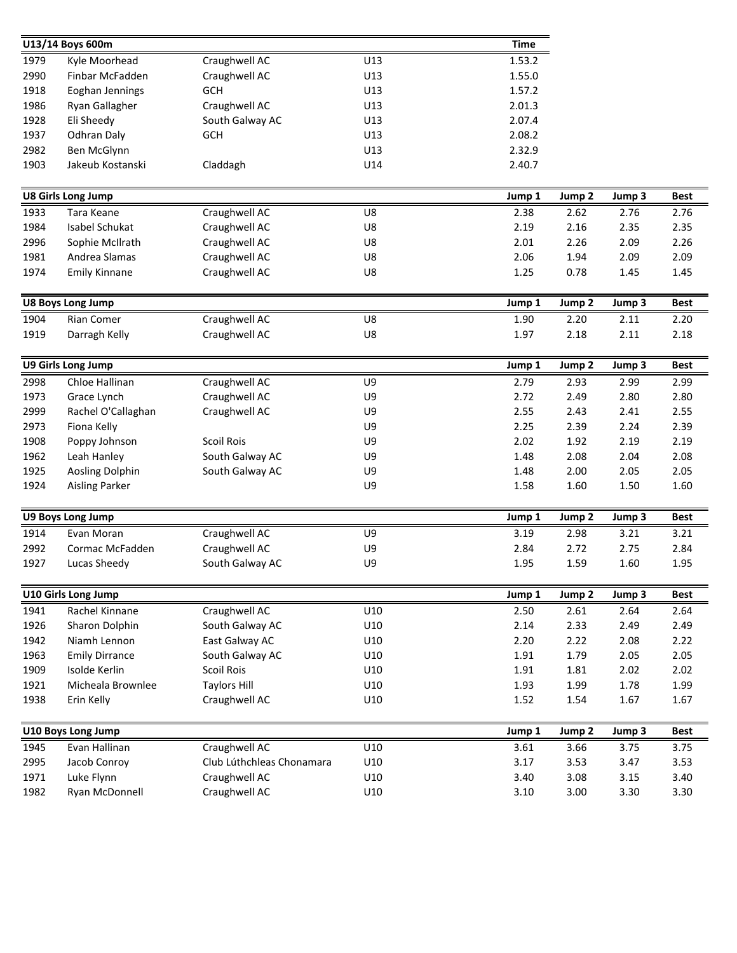|              | U13/14 Boys 600m            |                           |     | <b>Time</b>  |              |              |              |
|--------------|-----------------------------|---------------------------|-----|--------------|--------------|--------------|--------------|
| 1979         | Kyle Moorhead               | Craughwell AC             | U13 | 1.53.2       |              |              |              |
| 2990         | Finbar McFadden             | Craughwell AC             | U13 | 1.55.0       |              |              |              |
| 1918         | Eoghan Jennings             | GCH                       | U13 | 1.57.2       |              |              |              |
| 1986         | Ryan Gallagher              | Craughwell AC             | U13 | 2.01.3       |              |              |              |
| 1928         | Eli Sheedy                  | South Galway AC           | U13 | 2.07.4       |              |              |              |
| 1937         | Odhran Daly                 | GCH                       | U13 | 2.08.2       |              |              |              |
| 2982         | Ben McGlynn                 |                           | U13 | 2.32.9       |              |              |              |
| 1903         | Jakeub Kostanski            | Claddagh                  | U14 | 2.40.7       |              |              |              |
|              | <b>U8 Girls Long Jump</b>   |                           |     | Jump 1       | Jump 2       | Jump 3       | <b>Best</b>  |
| 1933         | Tara Keane                  | Craughwell AC             | U8  | 2.38         | 2.62         | 2.76         | 2.76         |
| 1984         | Isabel Schukat              | Craughwell AC             | U8  | 2.19         | 2.16         | 2.35         | 2.35         |
| 2996         | Sophie McIlrath             | Craughwell AC             | U8  | 2.01         | 2.26         | 2.09         | 2.26         |
| 1981         | Andrea Slamas               | Craughwell AC             | U8  | 2.06         | 1.94         | 2.09         | 2.09         |
| 1974         | <b>Emily Kinnane</b>        | Craughwell AC             | U8  | 1.25         | 0.78         | 1.45         | 1.45         |
|              |                             |                           |     |              |              |              |              |
|              | <b>U8 Boys Long Jump</b>    | Craughwell AC             | U8  | Jump 1       | Jump 2       | Jump 3       | <b>Best</b>  |
| 1904<br>1919 | Rian Comer<br>Darragh Kelly | Craughwell AC             | U8  | 1.90<br>1.97 | 2.20<br>2.18 | 2.11<br>2.11 | 2.20<br>2.18 |
|              |                             |                           |     |              |              |              |              |
|              | <b>U9 Girls Long Jump</b>   |                           |     | Jump 1       | Jump 2       | Jump 3       | <b>Best</b>  |
| 2998         | Chloe Hallinan              | Craughwell AC             | U9  | 2.79         | 2.93         | 2.99         | 2.99         |
| 1973         | Grace Lynch                 | Craughwell AC             | U9  | 2.72         | 2.49         | 2.80         | 2.80         |
| 2999         | Rachel O'Callaghan          | Craughwell AC             | U9  | 2.55         | 2.43         | 2.41         | 2.55         |
| 2973         | Fiona Kelly                 |                           | U9  | 2.25         | 2.39         | 2.24         | 2.39         |
| 1908         | Poppy Johnson               | <b>Scoil Rois</b>         | U9  | 2.02         | 1.92         | 2.19         | 2.19         |
| 1962         | Leah Hanley                 | South Galway AC           | U9  | 1.48         | 2.08         | 2.04         | 2.08         |
| 1925         | Aosling Dolphin             | South Galway AC           | U9  | 1.48         | 2.00         | 2.05         | 2.05         |
| 1924         | <b>Aisling Parker</b>       |                           | U9  | 1.58         | 1.60         | 1.50         | 1.60         |
|              | U9 Boys Long Jump           |                           |     | Jump 1       | Jump 2       | Jump 3       | <b>Best</b>  |
| 1914         | Evan Moran                  | Craughwell AC             | U9  | 3.19         | 2.98         | 3.21         | 3.21         |
| 2992         | Cormac McFadden             | Craughwell AC             | U9  | 2.84         | 2.72         | 2.75         | 2.84         |
| 1927         | Lucas Sheedy                | South Galway AC           | U9  | 1.95         | 1.59         | 1.60         | 1.95         |
|              | U10 Girls Long Jump         |                           |     | Jump 1       | Jump 2       | Jump 3       | <b>Best</b>  |
| 1941         | Rachel Kinnane              | Craughwell AC             | U10 | 2.50         | 2.61         | 2.64         | 2.64         |
| 1926         | Sharon Dolphin              | South Galway AC           | U10 | 2.14         | 2.33         | 2.49         | 2.49         |
| 1942         | Niamh Lennon                | East Galway AC            | U10 | 2.20         | 2.22         | 2.08         | 2.22         |
| 1963         | <b>Emily Dirrance</b>       | South Galway AC           | U10 | 1.91         | 1.79         | 2.05         | 2.05         |
| 1909         | Isolde Kerlin               | Scoil Rois                | U10 | 1.91         | 1.81         | 2.02         | 2.02         |
| 1921         | Micheala Brownlee           | <b>Taylors Hill</b>       | U10 | 1.93         | 1.99         | 1.78         | 1.99         |
| 1938         | Erin Kelly                  | Craughwell AC             | U10 | 1.52         | 1.54         | 1.67         | 1.67         |
|              |                             |                           |     |              |              |              |              |
|              | U10 Boys Long Jump          |                           |     | Jump 1       | Jump 2       | Jump 3       | <b>Best</b>  |
| 1945         | Evan Hallinan               | Craughwell AC             | U10 | 3.61         | 3.66         | 3.75         | 3.75         |
| 2995         | Jacob Conroy                | Club Lúthchleas Chonamara | U10 | 3.17         | 3.53         | 3.47         | 3.53         |
| 1971         | Luke Flynn                  | Craughwell AC             | U10 | 3.40         | 3.08         | 3.15         | 3.40         |
| 1982         | Ryan McDonnell              | Craughwell AC             | U10 | 3.10         | 3.00         | 3.30         | 3.30         |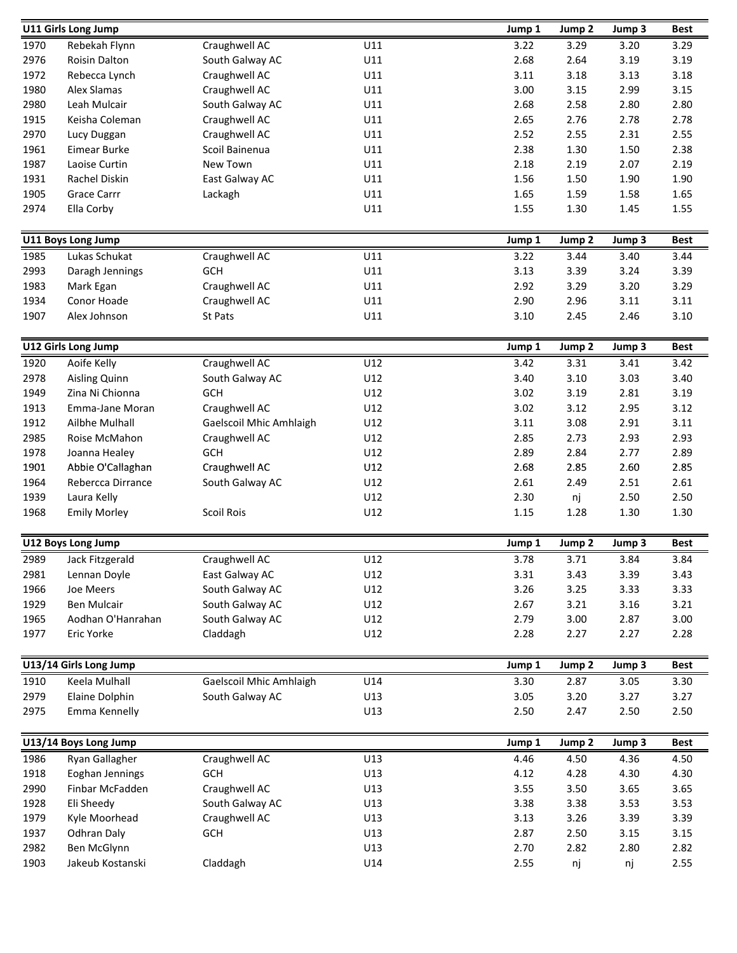|              | <b>U11 Girls Long Jump</b>         |                             |            | Jump 1       | Jump 2            | Jump 3       | <b>Best</b>  |
|--------------|------------------------------------|-----------------------------|------------|--------------|-------------------|--------------|--------------|
| 1970         | Rebekah Flynn                      | Craughwell AC               | U11        | 3.22         | 3.29              | 3.20         | 3.29         |
| 2976         | <b>Roisin Dalton</b>               | South Galway AC             | U11        | 2.68         | 2.64              | 3.19         | 3.19         |
| 1972         | Rebecca Lynch                      | Craughwell AC               | U11        | 3.11         | 3.18              | 3.13         | 3.18         |
| 1980         | Alex Slamas                        | Craughwell AC               | U11        | 3.00         | 3.15              | 2.99         | 3.15         |
| 2980         | Leah Mulcair                       | South Galway AC             | U11        | 2.68         | 2.58              | 2.80         | 2.80         |
| 1915         | Keisha Coleman                     | Craughwell AC               | U11        | 2.65         | 2.76              | 2.78         | 2.78         |
| 2970         | Lucy Duggan                        | Craughwell AC               | U11        | 2.52         | 2.55              | 2.31         | 2.55         |
| 1961         | Eimear Burke                       | Scoil Bainenua              | U11        | 2.38         | 1.30              | 1.50         | 2.38         |
| 1987         | Laoise Curtin                      | New Town                    | U11        | 2.18         | 2.19              | 2.07         | 2.19         |
| 1931         | Rachel Diskin                      | East Galway AC              | U11        | 1.56         | 1.50              | 1.90         | 1.90         |
| 1905         | <b>Grace Carrr</b>                 | Lackagh                     | U11        | 1.65         | 1.59              | 1.58         | 1.65         |
| 2974         | Ella Corby                         |                             | U11        | 1.55         | 1.30              | 1.45         | 1.55         |
|              |                                    |                             |            |              |                   |              |              |
|              | U11 Boys Long Jump                 |                             |            | Jump 1       | Jump 2            | Jump 3       | <b>Best</b>  |
| 1985         | Lukas Schukat                      | Craughwell AC               | U11        | 3.22         | 3.44              | 3.40         | 3.44         |
| 2993         | Daragh Jennings                    | GCH                         | U11        | 3.13         | 3.39              | 3.24         | 3.39         |
| 1983         | Mark Egan                          | Craughwell AC               | U11        | 2.92         | 3.29              | 3.20         | 3.29         |
| 1934         | Conor Hoade                        | Craughwell AC               | U11        | 2.90         | 2.96              | 3.11         | 3.11         |
| 1907         | Alex Johnson                       | St Pats                     | U11        | 3.10         | 2.45              | 2.46         | 3.10         |
|              | U12 Girls Long Jump                |                             |            | Jump 1       | Jump <sub>2</sub> | Jump 3       | <b>Best</b>  |
| 1920         | Aoife Kelly                        | Craughwell AC               | U12        | 3.42         | 3.31              | 3.41         | 3.42         |
| 2978         | Aisling Quinn                      | South Galway AC             | U12        | 3.40         | 3.10              | 3.03         | 3.40         |
| 1949         | Zina Ni Chionna                    | GCH                         | U12        | 3.02         | 3.19              | 2.81         | 3.19         |
| 1913         | Emma-Jane Moran                    | Craughwell AC               | U12        | 3.02         | 3.12              | 2.95         | 3.12         |
| 1912         | Ailbhe Mulhall                     | Gaelscoil Mhic Amhlaigh     | U12        | 3.11         | 3.08              | 2.91         | 3.11         |
| 2985         | Roise McMahon                      |                             | U12        | 2.85         | 2.73              | 2.93         | 2.93         |
| 1978         |                                    | Craughwell AC<br><b>GCH</b> | U12        | 2.89         | 2.84              | 2.77         | 2.89         |
| 1901         | Joanna Healey<br>Abbie O'Callaghan | Craughwell AC               | U12        | 2.68         | 2.85              | 2.60         | 2.85         |
| 1964         | Rebercca Dirrance                  | South Galway AC             | U12        | 2.61         | 2.49              | 2.51         | 2.61         |
| 1939         | Laura Kelly                        |                             | U12        | 2.30         | nj                | 2.50         | 2.50         |
| 1968         | <b>Emily Morley</b>                | Scoil Rois                  | U12        | 1.15         | 1.28              | 1.30         | 1.30         |
|              |                                    |                             |            |              |                   |              |              |
|              | U12 Boys Long Jump                 |                             |            | Jump 1       | Jump <sub>2</sub> | Jump 3       | <b>Best</b>  |
| 2989         | Jack Fitzgerald                    | Craughwell AC               | U12        | 3.78         | 3.71              | 3.84         | 3.84         |
| 2981         | Lennan Doyle                       | East Galway AC              | U12        | 3.31         | 3.43              | 3.39         | 3.43         |
| 1966         | Joe Meers                          | South Galway AC             | U12        | 3.26         | 3.25              | 3.33         | 3.33         |
| 1929         | Ben Mulcair                        | South Galway AC             | U12        | 2.67         | 3.21              | 3.16         | 3.21         |
| 1965         | Aodhan O'Hanrahan                  | South Galway AC             | U12        | 2.79         | 3.00              | 2.87         | 3.00         |
| 1977         | Eric Yorke                         | Claddagh                    | U12        | 2.28         | 2.27              | 2.27         | 2.28         |
|              | U13/14 Girls Long Jump             |                             |            | Jump 1       | Jump 2            | Jump 3       | <b>Best</b>  |
|              | Keela Mulhall                      | Gaelscoil Mhic Amhlaigh     |            |              |                   |              |              |
| 1910<br>2979 | Elaine Dolphin                     | South Galway AC             | U14<br>U13 | 3.30<br>3.05 | 2.87<br>3.20      | 3.05<br>3.27 | 3.30<br>3.27 |
| 2975         | Emma Kennelly                      |                             | U13        | 2.50         | 2.47              | 2.50         | 2.50         |
|              |                                    |                             |            |              |                   |              |              |
|              | U13/14 Boys Long Jump              |                             |            | Jump 1       | Jump <sub>2</sub> | Jump 3       | <b>Best</b>  |
| 1986         | Ryan Gallagher                     | Craughwell AC               | U13        | 4.46         | 4.50              | 4.36         | 4.50         |
| 1918         | Eoghan Jennings                    | GCH                         | U13        | 4.12         | 4.28              | 4.30         | 4.30         |
| 2990         | Finbar McFadden                    | Craughwell AC               | U13        | 3.55         | 3.50              | 3.65         | 3.65         |
| 1928         | Eli Sheedy                         | South Galway AC             | U13        | 3.38         | 3.38              | 3.53         | 3.53         |
| 1979         | Kyle Moorhead                      | Craughwell AC               | U13        | 3.13         | 3.26              | 3.39         | 3.39         |
| 1937         | <b>Odhran Daly</b>                 | <b>GCH</b>                  | U13        | 2.87         | 2.50              | 3.15         | 3.15         |
| 2982         | Ben McGlynn                        |                             | U13        | 2.70         | 2.82              | 2.80         | 2.82         |
| 1903         | Jakeub Kostanski                   | Claddagh                    | U14        | 2.55         | nj                | nj           | 2.55         |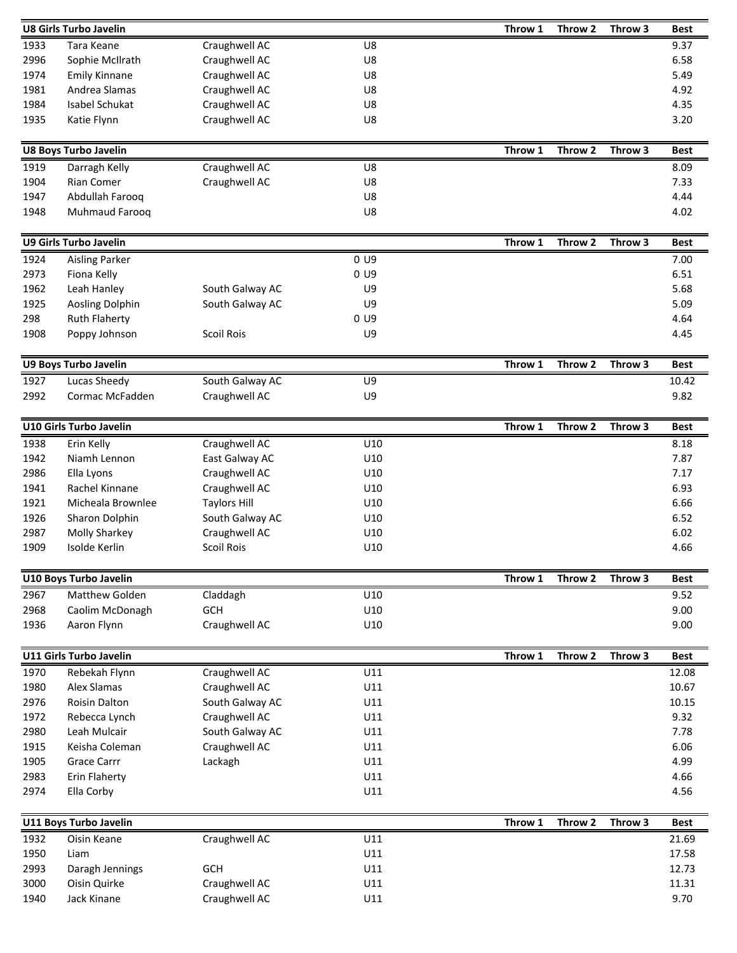|              | <b>U8 Girls Turbo Javelin</b> |                                |                | Throw 1 | Throw 2 | Throw 3 | <b>Best</b>    |
|--------------|-------------------------------|--------------------------------|----------------|---------|---------|---------|----------------|
| 1933         | Tara Keane                    | Craughwell AC                  | U8             |         |         |         | 9.37           |
| 2996         | Sophie McIlrath               | Craughwell AC                  | U8             |         |         |         | 6.58           |
| 1974         | <b>Emily Kinnane</b>          | Craughwell AC                  | U8             |         |         |         | 5.49           |
| 1981         | Andrea Slamas                 | Craughwell AC                  | U8             |         |         |         | 4.92           |
| 1984         | Isabel Schukat                | Craughwell AC                  | U8             |         |         |         | 4.35           |
| 1935         | Katie Flynn                   | Craughwell AC                  | U8             |         |         |         | 3.20           |
|              |                               |                                |                |         |         |         |                |
|              | <b>U8 Boys Turbo Javelin</b>  |                                |                | Throw 1 | Throw 2 | Throw 3 | <b>Best</b>    |
| 1919         | Darragh Kelly                 | Craughwell AC                  | U8             |         |         |         | 8.09           |
| 1904         | Rian Comer                    | Craughwell AC                  | U8             |         |         |         | 7.33           |
| 1947         | Abdullah Farooq               |                                | U8             |         |         |         | 4.44           |
| 1948         | Muhmaud Farooq                |                                | U8             |         |         |         | 4.02           |
|              |                               |                                |                |         |         |         |                |
|              | <b>U9 Girls Turbo Javelin</b> |                                |                | Throw 1 | Throw 2 | Throw 3 | <b>Best</b>    |
| 1924         | <b>Aisling Parker</b>         |                                | 0 <sub>U</sub> |         |         |         | 7.00           |
| 2973         | Fiona Kelly                   |                                | 0 <sub>U</sub> |         |         |         | 6.51           |
| 1962         | Leah Hanley                   | South Galway AC                | U9             |         |         |         | 5.68           |
| 1925         | Aosling Dolphin               | South Galway AC                | U9             |         |         |         | 5.09           |
| 298          | <b>Ruth Flaherty</b>          |                                | $0 \cup 9$     |         |         |         | 4.64           |
| 1908         | Poppy Johnson                 | <b>Scoil Rois</b>              | U9             |         |         |         | 4.45           |
|              |                               |                                |                |         |         |         |                |
|              | <b>U9 Boys Turbo Javelin</b>  |                                |                | Throw 1 | Throw 2 | Throw 3 | <b>Best</b>    |
| 1927         | Lucas Sheedy                  | South Galway AC                | U9             |         |         |         | 10.42          |
| 2992         | Cormac McFadden               | Craughwell AC                  | U9             |         |         |         | 9.82           |
|              | U10 Girls Turbo Javelin       |                                |                | Throw 1 | Throw 2 | Throw 3 | <b>Best</b>    |
| 1938         | Erin Kelly                    | Craughwell AC                  | U10            |         |         |         | 8.18           |
| 1942         | Niamh Lennon                  | East Galway AC                 | U10            |         |         |         | 7.87           |
| 2986         | Ella Lyons                    | Craughwell AC                  | U10            |         |         |         | 7.17           |
| 1941         | Rachel Kinnane                | Craughwell AC                  | U10            |         |         |         | 6.93           |
| 1921         | Micheala Brownlee             | <b>Taylors Hill</b>            | U10            |         |         |         | 6.66           |
| 1926         | Sharon Dolphin                | South Galway AC                | U10            |         |         |         | 6.52           |
| 2987         | Molly Sharkey                 | Craughwell AC                  | U10            |         |         |         | 6.02           |
| 1909         | Isolde Kerlin                 | <b>Scoil Rois</b>              | U10            |         |         |         | 4.66           |
|              |                               |                                |                |         |         |         |                |
|              | U10 Boys Turbo Javelin        |                                |                | Throw 1 | Throw 2 | Throw 3 | <b>Best</b>    |
| 2967         | Matthew Golden                | Claddagh                       | U10            |         |         |         | 9.52           |
| 2968         | Caolim McDonagh               | GCH                            | U10            |         |         |         | 9.00           |
| 1936         | Aaron Flynn                   | Craughwell AC                  | U10            |         |         |         | 9.00           |
|              | U11 Girls Turbo Javelin       |                                |                | Throw 1 | Throw 2 | Throw 3 |                |
|              |                               |                                |                |         |         |         | <b>Best</b>    |
| 1970<br>1980 | Rebekah Flynn<br>Alex Slamas  | Craughwell AC<br>Craughwell AC | U11<br>U11     |         |         |         | 12.08<br>10.67 |
|              | Roisin Dalton                 | South Galway AC                | U11            |         |         |         | 10.15          |
| 2976         |                               |                                |                |         |         |         |                |
| 1972         | Rebecca Lynch                 | Craughwell AC                  | U11            |         |         |         | 9.32           |
| 2980         | Leah Mulcair                  | South Galway AC                | U11            |         |         |         | 7.78           |
| 1915         | Keisha Coleman                | Craughwell AC                  | U11            |         |         |         | 6.06           |
| 1905         | <b>Grace Carrr</b>            | Lackagh                        | U11            |         |         |         | 4.99           |
| 2983         | Erin Flaherty                 |                                | U11            |         |         |         | 4.66           |
| 2974         | Ella Corby                    |                                | U11            |         |         |         | 4.56           |
|              | U11 Boys Turbo Javelin        |                                |                | Throw 1 | Throw 2 | Throw 3 | <b>Best</b>    |
| 1932         | Oisin Keane                   | Craughwell AC                  | U11            |         |         |         | 21.69          |
| 1950         | Liam                          |                                | U11            |         |         |         | 17.58          |
| 2993         | Daragh Jennings               | <b>GCH</b>                     | U11            |         |         |         | 12.73          |
| 3000         | Oisin Quirke                  | Craughwell AC                  | U11            |         |         |         | 11.31          |
| 1940         | Jack Kinane                   | Craughwell AC                  | U11            |         |         |         | 9.70           |
|              |                               |                                |                |         |         |         |                |